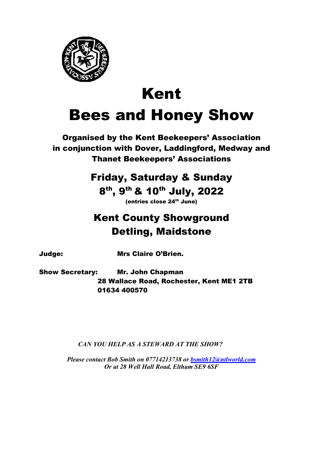

# Kent Bees and Honey Show

Organised by the Kent Beekeepers' Association in conjunction with Dover, Laddingford, Medway and Thanet Beekeepers' Associations

# Friday, Saturday & Sunday

8<sup>th</sup>, 9<sup>th</sup> & 10<sup>th</sup> July, 2022

 $(entries close 24<sup>th</sup> June)$ 

# Kent County Showground Detling, Maidstone

Judge: Mrs Claire O'Brien.

Show Secretary: Mr. John Chapman 28 Wallace Road, Rochester, Kent ME1 2TB 01634 400570

CAN YOU HELP AS A STEWARD AT THE SHOW?

Please contact Bob Smith on 07714213738 or bsmith12@ntlworld.com Or at 28 Well Hall Road, Eltham SE9 6SF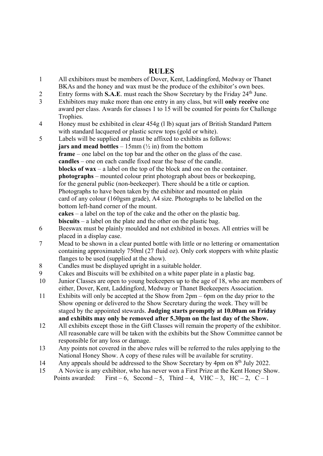# RULES

- 1 All exhibitors must be members of Dover, Kent, Laddingford, Medway or Thanet BKAs and the honey and wax must be the produce of the exhibitor's own bees.
- 2 Entry forms with S.A.E. must reach the Show Secretary by the Friday 24<sup>th</sup> June.
- 3 Exhibitors may make more than one entry in any class, but will only receive one award per class. Awards for classes 1 to 15 will be counted for points for Challenge Trophies.
- 4 Honey must be exhibited in clear 454g (l lb) squat jars of British Standard Pattern with standard lacquered or plastic screw tops (gold or white).
- 5 Labels will be supplied and must be affixed to exhibits as follows: **jars and mead bottles** – 15mm  $\left(\frac{1}{2} \text{ in} \right)$  from the bottom frame – one label on the top bar and the other on the glass of the case. candles – one on each candle fixed near the base of the candle. blocks of wax – a label on the top of the block and one on the container. photographs – mounted colour print photograph about bees or beekeeping, for the general public (non-beekeeper). There should be a title or caption. Photographs to have been taken by the exhibitor and mounted on plain card of any colour (160gsm grade), A4 size. Photographs to be labelled on the bottom left-hand corner of the mount. cakes – a label on the top of the cake and the other on the plastic bag. biscuits – a label on the plate and the other on the plastic bag.
- 6 Beeswax must be plainly moulded and not exhibited in boxes. All entries will be placed in a display case.
- 7 Mead to be shown in a clear punted bottle with little or no lettering or ornamentation containing approximately 750ml (27 fluid oz). Only cork stoppers with white plastic flanges to be used (supplied at the show).
- 8 Candles must be displayed upright in a suitable holder.
- 9 Cakes and Biscuits will be exhibited on a white paper plate in a plastic bag.
- 10 Junior Classes are open to young beekeepers up to the age of 18, who are members of either, Dover, Kent, Laddingford, Medway or Thanet Beekeepers Association.
- 11 Exhibits will only be accepted at the Show from 2pm 6pm on the day prior to the Show opening or delivered to the Show Secretary during the week. They will be staged by the appointed stewards. Judging starts promptly at 10.00am on Friday and exhibits may only be removed after 5.30pm on the last day of the Show.
- 12 All exhibits except those in the Gift Classes will remain the property of the exhibitor. All reasonable care will be taken with the exhibits but the Show Committee cannot be responsible for any loss or damage.
- 13 Any points not covered in the above rules will be referred to the rules applying to the National Honey Show. A copy of these rules will be available for scrutiny.
- 14 Any appeals should be addressed to the Show Secretary by 4pm on 8<sup>th</sup> July 2022.
- 15 A Novice is any exhibitor, who has never won a First Prize at the Kent Honey Show. Points awarded: First – 6, Second – 5, Third – 4, VHC – 3, HC – 2, C – 1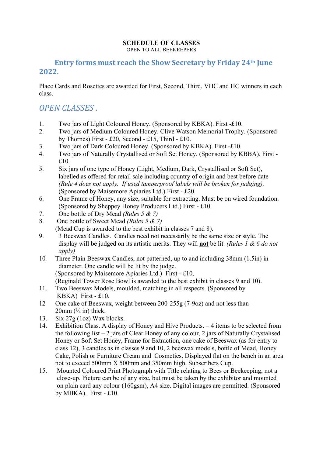#### SCHEDULE OF CLASSES OPEN TO ALL BEEKEEPERS

# Entry forms must reach the Show Secretary by Friday 24th June 2022.

Place Cards and Rosettes are awarded for First, Second, Third, VHC and HC winners in each class.

# OPEN CLASSES .

- 1. Two jars of Light Coloured Honey. (Sponsored by KBKA). First -£10.
- 2. Two jars of Medium Coloured Honey. Clive Watson Memorial Trophy. (Sponsored by Thornes) First - £20, Second - £15, Third - £10.
- 3. Two jars of Dark Coloured Honey. (Sponsored by KBKA). First -£10.
- 4. Two jars of Naturally Crystallised or Soft Set Honey. (Sponsored by KBBA). First £10.
- 5. Six jars of one type of Honey (Light, Medium, Dark, Crystallised or Soft Set), labelled as offered for retail sale including country of origin and best before date (Rule 4 does not apply. If used tamperproof labels will be broken for judging). (Sponsored by Maisemore Apiaries Ltd.) First - £20
- 6. One Frame of Honey, any size, suitable for extracting. Must be on wired foundation. (Sponsored by Sheppey Honey Producers Ltd.) First - £10.
- 7. One bottle of Dry Mead *(Rules 5 & 7)*
- 8. One bottle of Sweet Mead (Rules 5 & 7) (Mead Cup is awarded to the best exhibit in classes 7 and 8).
- 9. 3 Beeswax Candles. Candles need not necessarily be the same size or style. The display will be judged on its artistic merits. They will **not** be lit. (Rules 1  $\&$  6 do not apply)
- 10. Three Plain Beeswax Candles, not patterned, up to and including 38mm (1.5in) in diameter. One candle will be lit by the judge. (Sponsored by Maisemore Apiaries Ltd.) First - £10, (Reginald Tower Rose Bowl is awarded to the best exhibit in classes 9 and 10).
- 11. Two Beeswax Models, moulded, matching in all respects. (Sponsored by KBKA) First - £10.
- 12 One cake of Beeswax, weight between 200-255g (7-9oz) and not less than  $20$ mm  $(3/4)$  in) thick.
- 13. Six  $27g$  (1oz) Wax blocks.
- 14. Exhibition Class. A display of Honey and Hive Products. 4 items to be selected from the following list  $-2$  jars of Clear Honey of any colour, 2 jars of Naturally Crystalised Honey or Soft Set Honey, Frame for Extraction, one cake of Beeswax (as for entry to class 12), 3 candles as in classes 9 and 10, 2 beeswax models, bottle of Mead, Honey Cake, Polish or Furniture Cream and Cosmetics. Displayed flat on the bench in an area not to exceed 500mm X 500mm and 350mm high. Subscribers Cup.
- 15. Mounted Coloured Print Photograph with Title relating to Bees or Beekeeping, not a close-up. Picture can be of any size, but must be taken by the exhibitor and mounted on plain card any colour (160gsm), A4 size. Digital images are permitted. (Sponsored by MBKA). First - £10.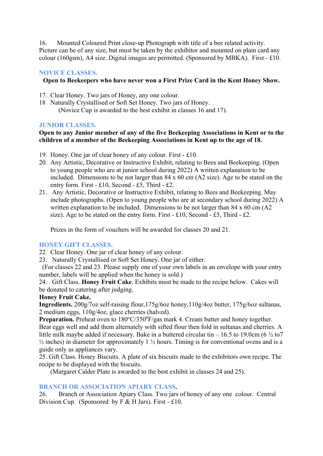16. Mounted Coloured Print close-up Photograph with title of a bee related activity. Picture can be of any size, but must be taken by the exhibitor and mounted on plain card any colour (160gsm), A4 size. Digital images are permitted. (Sponsored by MBKA). First - £10.

#### NOVICE CLASSES.

#### Open to Beekeepers who have never won a First Prize Card in the Kent Honey Show.

- 17. Clear Honey. Two jars of Honey, any one colour.
- 18 Naturally Crystallised or Soft Set Honey. Two jars of Honey. (Novice Cup is awarded to the best exhibit in classes 16 and 17).

#### JUNIOR CLASSES.

#### Open to any Junior member of any of the five Beekeeping Associations in Kent or to the children of a member of the Beekeeping Associations in Kent up to the age of 18.

- 19. Honey. One jar of clear honey of any colour. First £10.
- 20. Any Artistic, Decorative or Instructive Exhibit, relating to Bees and Beekeeping. (Open to young people who are at junior school during 2022) A written explanation to be included. Dimensions to be not larger than 84 x 60 cm (A2 size). Age to be stated on the entry form. First - £10, Second - £5, Third - £2.
- 21. Any Artistic, Decorative or Instructive Exhibit, relating to Bees and Beekeeping. May include photographs. (Open to young people who are at secondary school during 2022) A written explanation to be included. Dimensions to be not larger than 84 x 60 cm (A2 size). Age to be stated on the entry form. First - £10, Second - £5, Third - £2.

Prizes in the form of vouchers will be awarded for classes 20 and 21.

#### HONEY GIFT CLASSES.

22. Clear Honey. One jar of clear honey of any colour.

23. Naturally Crystallised or Soft Set Honey. One jar of either.

 (For classes 22 and 23. Please supply one of your own labels in an envelope with your entry number, labels will be applied when the honey is sold.)

24. Gift Class. Honey Fruit Cake. Exhibits must be made to the recipe below. Cakes will be donated to catering after judging.

#### Honey Fruit Cake.

Ingredients. 200g/7oz self-raising flour,175g/6oz honey,110g/4oz butter, 175g/6oz sultanas, 2 medium eggs, 110g/4oz, glace cherries (halved).

**Preparation.** Preheat oven to  $180^{\circ}C/350^{\circ}F/gas$  mark 4. Cream butter and honey together. Beat eggs well and add them alternately with sifted flour then fold in sultanas and cherries. A little milk maybe added if necessary. Bake in a buttered circular tin – 16.5 to 19.0cm (6  $\frac{1}{2}$  to 7  $\frac{1}{2}$  inches) in diameter for approximately 1  $\frac{1}{2}$  hours. Timing is for conventional ovens and is a guide only as appliances vary.

25. Gift Class. Honey Biscuits. A plate of six biscuits made to the exhibitors own recipe. The recipe to be displayed with the biscuits.

(Margaret Calder Plate is awarded to the best exhibit in classes 24 and 25).

#### BRANCH OR ASSOCIATION APIARY CLASS.

26. Branch or Association Apiary Class. Two jars of honey of any one colour. Central Division Cup. (Sponsored by  $F & H$  Jars). First - £10.